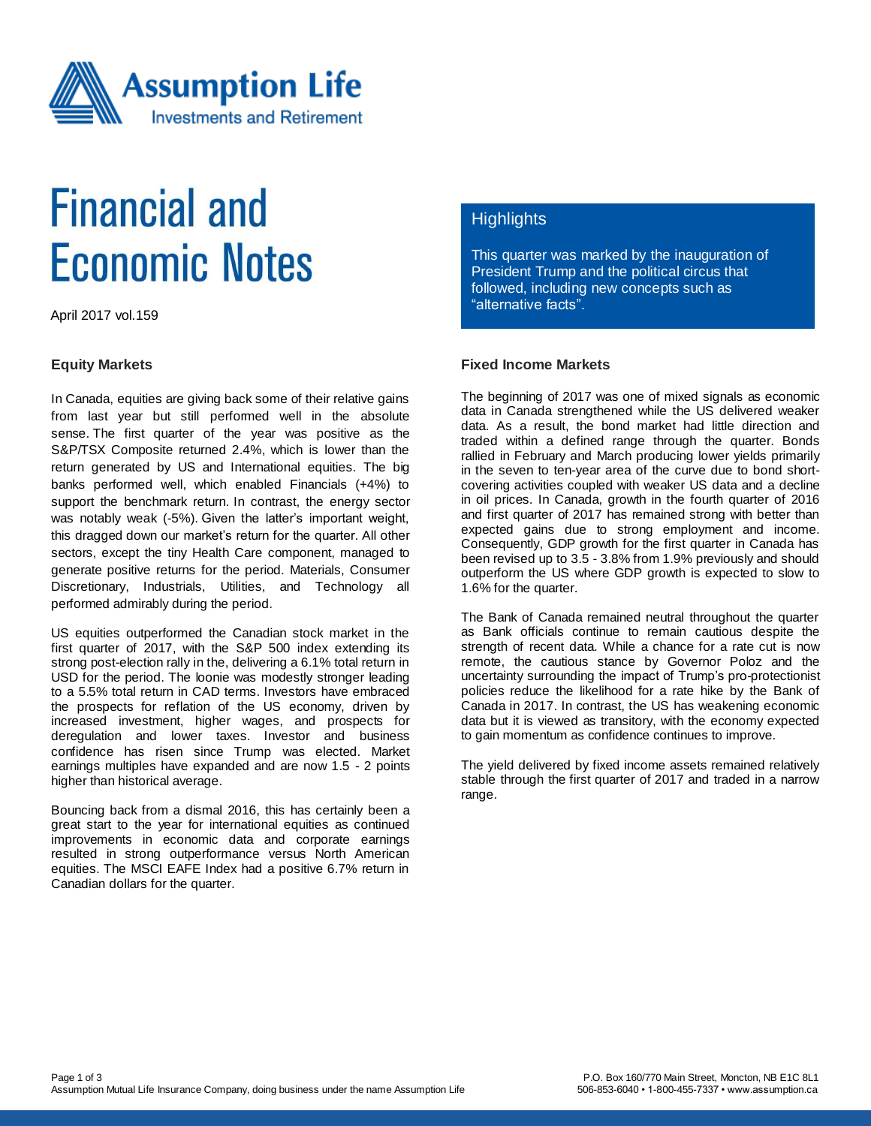

# **Financial and Economic Notes**

April 2017 vol.159

#### **Equity Markets**

In Canada, equities are giving back some of their relative gains from last year but still performed well in the absolute sense. The first quarter of the year was positive as the S&P/TSX Composite returned 2.4%, which is lower than the return generated by US and International equities. The big banks performed well, which enabled Financials (+4%) to support the benchmark return. In contrast, the energy sector was notably weak (-5%). Given the latter's important weight, this dragged down our market's return for the quarter. All other sectors, except the tiny Health Care component, managed to generate positive returns for the period. Materials, Consumer Discretionary, Industrials, Utilities, and Technology all performed admirably during the period.

US equities outperformed the Canadian stock market in the first quarter of 2017, with the S&P 500 index extending its strong post-election rally in the, delivering a 6.1% total return in USD for the period. The loonie was modestly stronger leading to a 5.5% total return in CAD terms. Investors have embraced the prospects for reflation of the US economy, driven by increased investment, higher wages, and prospects for deregulation and lower taxes. Investor and business confidence has risen since Trump was elected. Market earnings multiples have expanded and are now 1.5 - 2 points higher than historical average.

Bouncing back from a dismal 2016, this has certainly been a great start to the year for international equities as continued improvements in economic data and corporate earnings resulted in strong outperformance versus North American equities. The MSCI EAFE Index had a positive 6.7% return in Canadian dollars for the quarter.

#### **Highlights**

This quarter was marked by the inauguration of President Trump and the political circus that followed, including new concepts such as "alternative facts".

### **Fixed Income Markets**

The beginning of 2017 was one of mixed signals as economic data in Canada strengthened while the US delivered weaker data. As a result, the bond market had little direction and traded within a defined range through the quarter. Bonds rallied in February and March producing lower yields primarily in the seven to ten-year area of the curve due to bond shortcovering activities coupled with weaker US data and a decline in oil prices. In Canada, growth in the fourth quarter of 2016 and first quarter of 2017 has remained strong with better than expected gains due to strong employment and income. Consequently, GDP growth for the first quarter in Canada has been revised up to 3.5 - 3.8% from 1.9% previously and should outperform the US where GDP growth is expected to slow to 1.6% for the quarter.

The Bank of Canada remained neutral throughout the quarter as Bank officials continue to remain cautious despite the strength of recent data. While a chance for a rate cut is now remote, the cautious stance by Governor Poloz and the uncertainty surrounding the impact of Trump's pro-protectionist policies reduce the likelihood for a rate hike by the Bank of Canada in 2017. In contrast, the US has weakening economic data but it is viewed as transitory, with the economy expected to gain momentum as confidence continues to improve.

The yield delivered by fixed income assets remained relatively stable through the first quarter of 2017 and traded in a narrow range.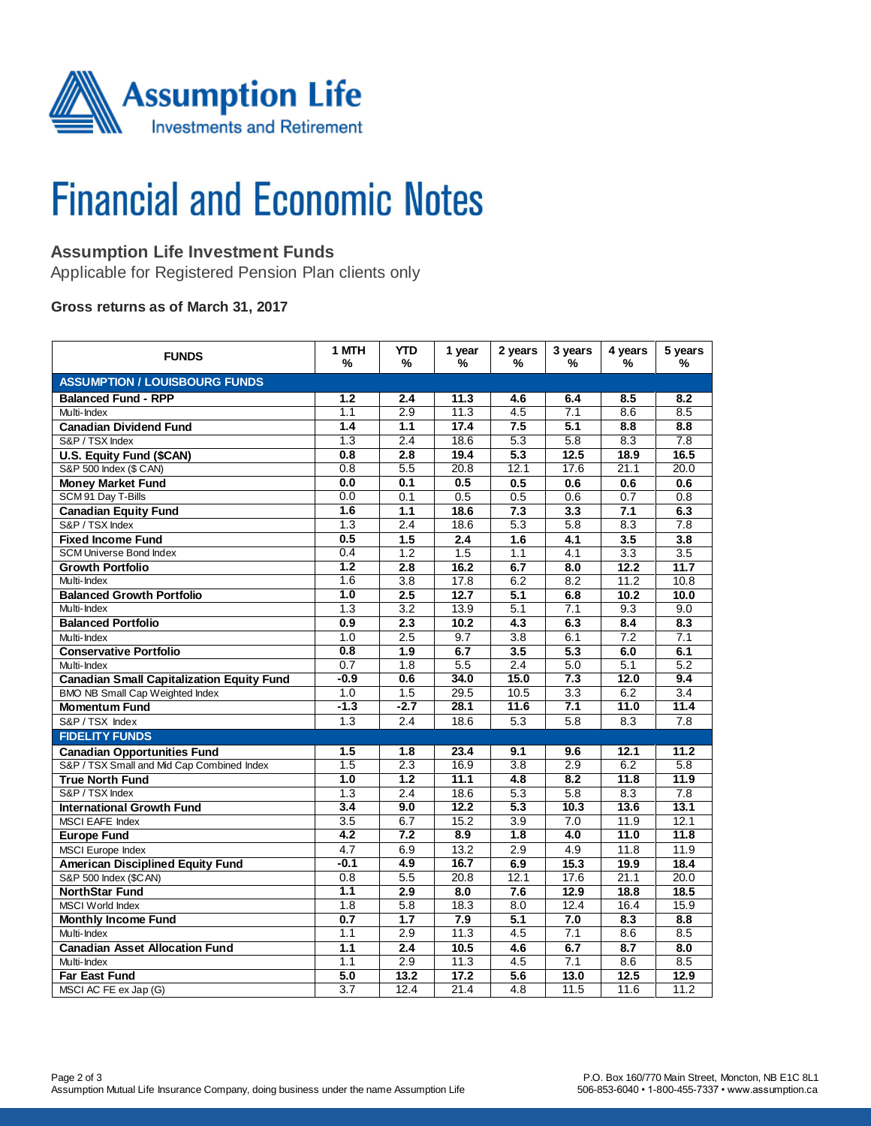

# **Financial and Economic Notes**

## **Assumption Life Investment Funds**

Applicable for Registered Pension Plan clients only

#### **Gross returns as of March 31, 2017**

| <b>FUNDS</b>                                     | 1 MTH<br>%       | <b>YTD</b><br>%  | 1 year<br>% | 2 years<br>%     | 3 years<br>%     | 4 years<br>%     | 5 years<br>%     |  |  |  |
|--------------------------------------------------|------------------|------------------|-------------|------------------|------------------|------------------|------------------|--|--|--|
| <b>ASSUMPTION / LOUISBOURG FUNDS</b>             |                  |                  |             |                  |                  |                  |                  |  |  |  |
| <b>Balanced Fund - RPP</b>                       | 1.2              | 2.4              | 11.3        | 4.6              | 6.4              | 8.5              | 8.2              |  |  |  |
| Multi-Index                                      | 1.1              | 2.9              | 11.3        | 4.5              | 7.1              | 8.6              | 8.5              |  |  |  |
| <b>Canadian Dividend Fund</b>                    | 1.4              | 1.1              | 17.4        | 7.5              | 5.1              | 8.8              | 8.8              |  |  |  |
| S&P / TSX Index                                  | 1.3              | 2.4              | 18.6        | 5.3              | 5.8              | 8.3              | 7.8              |  |  |  |
| U.S. Equity Fund (\$CAN)                         | 0.8              | 2.8              | 19.4        | 5.3              | 12.5             | 18.9             | 16.5             |  |  |  |
| S&P 500 Index (\$ CAN)                           | 0.8              | 5.5              | 20.8        | 12.1             | 17.6             | 21.1             | 20.0             |  |  |  |
| <b>Money Market Fund</b>                         | 0.0              | 0.1              | 0.5         | 0.5              | 0.6              | 0.6              | 0.6              |  |  |  |
| SCM 91 Day T-Bills                               | 0.0              | 0.1              | 0.5         | 0.5              | 0.6              | 0.7              | 0.8              |  |  |  |
| <b>Canadian Equity Fund</b>                      | 1.6              | 1.1              | 18.6        | 7.3              | 3.3              | 7.1              | 6.3              |  |  |  |
| S&P / TSX Index                                  | 1.3              | 2.4              | 18.6        | 5.3              | 5.8              | 8.3              | 7.8              |  |  |  |
| <b>Fixed Income Fund</b>                         | 0.5              | 1.5              | 2.4         | 1.6              | 4.1              | 3.5              | 3.8              |  |  |  |
| <b>SCM Universe Bond Index</b>                   | 0.4              | 1.2              | 1.5         | 1.1              | 4.1              | 3.3              | 3.5              |  |  |  |
| <b>Growth Portfolio</b>                          | 1.2              | 2.8              | 16.2        | 6.7              | 8.0              | 12.2             | 11.7             |  |  |  |
| Multi-Index                                      | 1.6              | $\overline{3.8}$ | 17.8        | 6.2              | 8.2              | 11.2             | 10.8             |  |  |  |
| <b>Balanced Growth Portfolio</b>                 | 1.0              | 2.5              | 12.7        | 5.1              | 6.8              | 10.2             | 10.0             |  |  |  |
| Multi-Index                                      | $\overline{1.3}$ | $\overline{3.2}$ | 13.9        | 5.1              | 7.1              | 9.3              | 9.0              |  |  |  |
| <b>Balanced Portfolio</b>                        | 0.9              | $\overline{2.3}$ | 10.2        | 4.3              | 6.3              | 8.4              | 8.3              |  |  |  |
| Multi-Index                                      | 1.0              | 2.5              | 9.7         | 3.8              | 6.1              | 7.2              | 7.1              |  |  |  |
| <b>Conservative Portfolio</b>                    | 0.8              | 1.9              | 6.7         | 3.5              | 5.3              | 6.0              | 6.1              |  |  |  |
| Multi-Index                                      | 0.7              | 1.8              | 5.5         | 2.4              | 5.0              | 5.1              | 5.2              |  |  |  |
| <b>Canadian Small Capitalization Equity Fund</b> | $-0.9$           | 0.6              | 34.0        | 15.0             | 7.3              | 12.0             | 9.4              |  |  |  |
| <b>BMO NB Small Cap Weighted Index</b>           | 1.0              | 1.5              | 29.5        | 10.5             | $\overline{3.3}$ | 6.2              | $\overline{3.4}$ |  |  |  |
| <b>Momentum Fund</b>                             | $-1.3$           | $-2.7$           | 28.1        | 11.6             | 7.1              | 11.0             | 11.4             |  |  |  |
| S&P / TSX Index                                  | 1.3              | 2.4              | 18.6        | 5.3              | 5.8              | 8.3              | 7.8              |  |  |  |
| <b>FIDELITY FUNDS</b>                            |                  |                  |             |                  |                  |                  |                  |  |  |  |
| <b>Canadian Opportunities Fund</b>               | 1.5              | 1.8              | 23.4        | 9.1              | 9.6              | 12.1             | 11.2             |  |  |  |
| S&P / TSX Small and Mid Cap Combined Index       | 1.5              | 2.3              | 16.9        | 3.8              | 2.9              | 6.2              | 5.8              |  |  |  |
| <b>True North Fund</b>                           | 1.0              | 1.2              | 11.1        | $\overline{4.8}$ | 8.2              | 11.8             | 11.9             |  |  |  |
| S&P / TSX Index                                  | $\overline{1.3}$ | 2.4              | 18.6        | $\overline{5.3}$ | $\overline{5.8}$ | $\overline{8.3}$ | $\overline{7.8}$ |  |  |  |
| <b>International Growth Fund</b>                 | 3.4              | 9.0              | 12.2        | 5.3              | 10.3             | 13.6             | 13.1             |  |  |  |
| <b>MSCI EAFE Index</b>                           | $\overline{3.5}$ | 6.7              | 15.2        | $\overline{3.9}$ | 7.0              | 11.9             | 12.1             |  |  |  |
| <b>Europe Fund</b>                               | 4.2              | 7.2              | 8.9         | 1.8              | 4.0              | 11.0             | 11.8             |  |  |  |
| MSCI Europe Index                                | 4.7              | 6.9              | 13.2        | 2.9              | 4.9              | 11.8             | 11.9             |  |  |  |
| <b>American Disciplined Equity Fund</b>          | $-0.1$           | 4.9              | 16.7        | 6.9              | 15.3             | 19.9             | 18.4             |  |  |  |
| S&P 500 Index (\$CAN)                            | 0.8              | 5.5              | 20.8        | 12.1             | 17.6             | 21.1             | 20.0             |  |  |  |
| <b>NorthStar Fund</b>                            | 1.1              | 2.9              | 8.0         | 7.6              | 12.9             | 18.8             | 18.5             |  |  |  |
| <b>MSCI World Index</b>                          | 1.8              | $\overline{5.8}$ | 18.3        | 8.0              | 12.4             | 16.4             | 15.9             |  |  |  |
| <b>Monthly Income Fund</b>                       | 0.7              | 1.7              | 7.9         | 5.1              | 7.0              | 8.3              | 8.8              |  |  |  |
| Multi-Index                                      | 1.1              | 2.9              | 11.3        | 4.5              | 7.1              | 8.6              | 8.5              |  |  |  |
| <b>Canadian Asset Allocation Fund</b>            | 1.1              | 2.4              | 10.5        | 4.6              | 6.7              | 8.7              | 8.0              |  |  |  |
| Multi-Index                                      | 1.1              | 2.9              | 11.3        | 4.5              | 7.1              | 8.6              | 8.5              |  |  |  |
| <b>Far East Fund</b>                             | 5.0              | 13.2             | 17.2        | $\overline{5.6}$ | 13.0             | 12.5             | 12.9             |  |  |  |
| MSCI AC FE ex Jap (G)                            | $\overline{3.7}$ | 12.4             | 21.4        | 4.8              | 11.5             | 11.6             | 11.2             |  |  |  |